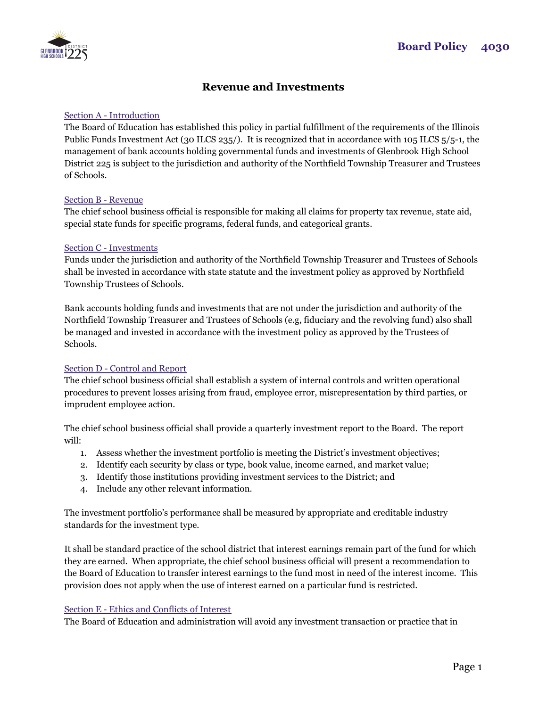

# **Revenue and Investments**

### Section A - Introduction

The Board of Education has established this policy in partial fulfillment of the requirements of the Illinois Public Funds Investment Act (30 ILCS 235/). It is recognized that in accordance with 105 ILCS 5/5-1, the management of bank accounts holding governmental funds and investments of Glenbrook High School District 225 is subject to the jurisdiction and authority of the Northfield Township Treasurer and Trustees of Schools.

#### Section B - Revenue

The chief school business official is responsible for making all claims for property tax revenue, state aid, special state funds for specific programs, federal funds, and categorical grants.

#### Section C - Investments

Funds under the jurisdiction and authority of the Northfield Township Treasurer and Trustees of Schools shall be invested in accordance with state statute and the investment policy as approved by Northfield Township Trustees of Schools.

Bank accounts holding funds and investments that are not under the jurisdiction and authority of the Northfield Township Treasurer and Trustees of Schools (e.g, fiduciary and the revolving fund) also shall be managed and invested in accordance with the investment policy as approved by the Trustees of Schools.

## Section D - Control and Report

The chief school business official shall establish a system of internal controls and written operational procedures to prevent losses arising from fraud, employee error, misrepresentation by third parties, or imprudent employee action.

The chief school business official shall provide a quarterly investment report to the Board. The report will:

- 1. Assess whether the investment portfolio is meeting the District's investment objectives;
- 2. Identify each security by class or type, book value, income earned, and market value;
- 3. Identify those institutions providing investment services to the District; and
- 4. Include any other relevant information.

The investment portfolio's performance shall be measured by appropriate and creditable industry standards for the investment type.

It shall be standard practice of the school district that interest earnings remain part of the fund for which they are earned. When appropriate, the chief school business official will present a recommendation to the Board of Education to transfer interest earnings to the fund most in need of the interest income. This provision does not apply when the use of interest earned on a particular fund is restricted.

#### Section E - Ethics and Conflicts of Interest

The Board of Education and administration will avoid any investment transaction or practice that in